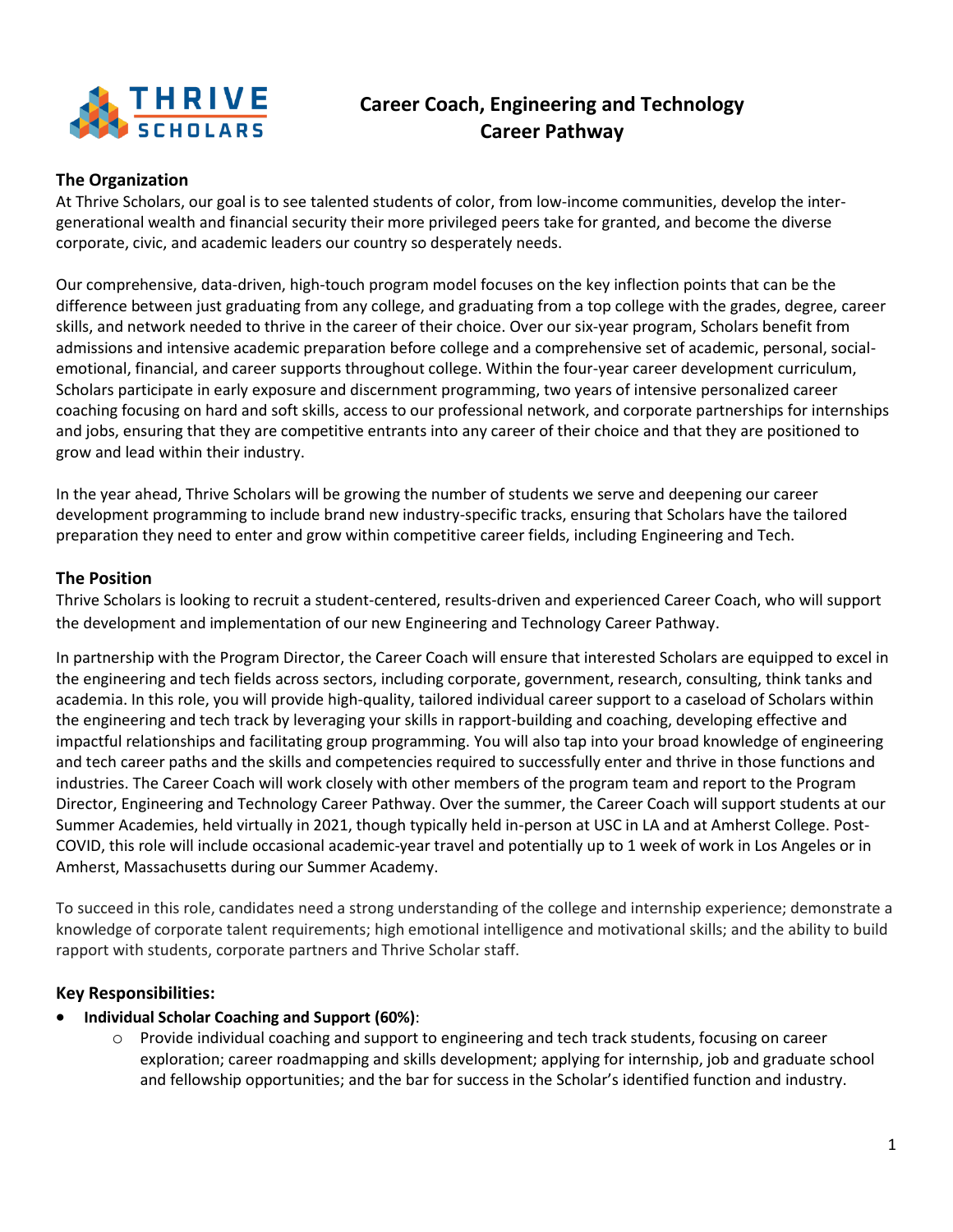

# **Career Coach, Engineering and Technology Career Pathway**

## **The Organization**

At Thrive Scholars, our goal is to see talented students of color, from low-income communities, develop the intergenerational wealth and financial security their more privileged peers take for granted, and become the diverse corporate, civic, and academic leaders our country so desperately needs.

Our comprehensive, data-driven, high-touch program model focuses on the key inflection points that can be the difference between just graduating from any college, and graduating from a top college with the grades, degree, career skills, and network needed to thrive in the career of their choice. Over our six-year program, Scholars benefit from admissions and intensive academic preparation before college and a comprehensive set of academic, personal, socialemotional, financial, and career supports throughout college. Within the four-year career development curriculum, Scholars participate in early exposure and discernment programming, two years of intensive personalized career coaching focusing on hard and soft skills, access to our professional network, and corporate partnerships for internships and jobs, ensuring that they are competitive entrants into any career of their choice and that they are positioned to grow and lead within their industry.

In the year ahead, Thrive Scholars will be growing the number of students we serve and deepening our career development programming to include brand new industry-specific tracks, ensuring that Scholars have the tailored preparation they need to enter and grow within competitive career fields, including Engineering and Tech.

## **The Position**

Thrive Scholars is looking to recruit a student-centered, results-driven and experienced Career Coach, who will support the development and implementation of our new Engineering and Technology Career Pathway.

In partnership with the Program Director, the Career Coach will ensure that interested Scholars are equipped to excel in the engineering and tech fields across sectors, including corporate, government, research, consulting, think tanks and academia. In this role, you will provide high-quality, tailored individual career support to a caseload of Scholars within the engineering and tech track by leveraging your skills in rapport-building and coaching, developing effective and impactful relationships and facilitating group programming. You will also tap into your broad knowledge of engineering and tech career paths and the skills and competencies required to successfully enter and thrive in those functions and industries. The Career Coach will work closely with other members of the program team and report to the Program Director, Engineering and Technology Career Pathway. Over the summer, the Career Coach will support students at our Summer Academies, held virtually in 2021, though typically held in-person at USC in LA and at Amherst College. Post-COVID, this role will include occasional academic-year travel and potentially up to 1 week of work in Los Angeles or in Amherst, Massachusetts during our Summer Academy.

To succeed in this role, candidates need a strong understanding of the college and internship experience; demonstrate a knowledge of corporate talent requirements; high emotional intelligence and motivational skills; and the ability to build rapport with students, corporate partners and Thrive Scholar staff.

## **Key Responsibilities:**

- **Individual Scholar Coaching and Support (60%)**:
	- o Provide individual coaching and support to engineering and tech track students, focusing on career exploration; career roadmapping and skills development; applying for internship, job and graduate school and fellowship opportunities; and the bar for success in the Scholar's identified function and industry.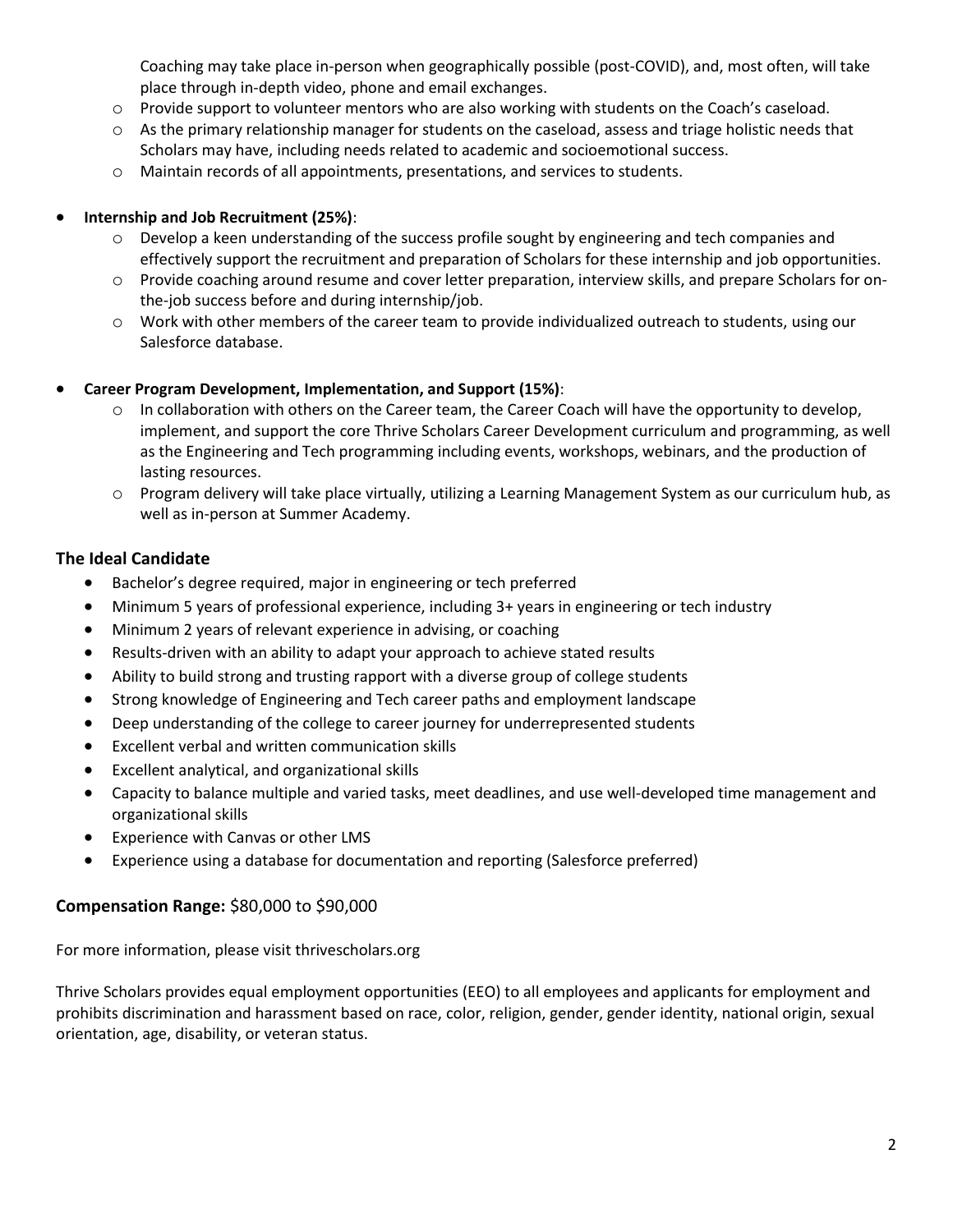Coaching may take place in-person when geographically possible (post-COVID), and, most often, will take place through in-depth video, phone and email exchanges.

- o Provide support to volunteer mentors who are also working with students on the Coach's caseload.
- $\circ$  As the primary relationship manager for students on the caseload, assess and triage holistic needs that Scholars may have, including needs related to academic and socioemotional success.
- o Maintain records of all appointments, presentations, and services to students.

### • **Internship and Job Recruitment (25%)**:

- o Develop a keen understanding of the success profile sought by engineering and tech companies and effectively support the recruitment and preparation of Scholars for these internship and job opportunities.
- o Provide coaching around resume and cover letter preparation, interview skills, and prepare Scholars for onthe-job success before and during internship/job.
- o Work with other members of the career team to provide individualized outreach to students, using our Salesforce database.

#### • **Career Program Development, Implementation, and Support (15%)**:

- o In collaboration with others on the Career team, the Career Coach will have the opportunity to develop, implement, and support the core Thrive Scholars Career Development curriculum and programming, as well as the Engineering and Tech programming including events, workshops, webinars, and the production of lasting resources.
- o Program delivery will take place virtually, utilizing a Learning Management System as our curriculum hub, as well as in-person at Summer Academy.

## **The Ideal Candidate**

- Bachelor's degree required, major in engineering or tech preferred
- Minimum 5 years of professional experience, including 3+ years in engineering or tech industry
- Minimum 2 years of relevant experience in advising, or coaching
- Results-driven with an ability to adapt your approach to achieve stated results
- Ability to build strong and trusting rapport with a diverse group of college students
- Strong knowledge of Engineering and Tech career paths and employment landscape
- Deep understanding of the college to career journey for underrepresented students
- Excellent verbal and written communication skills
- Excellent analytical, and organizational skills
- Capacity to balance multiple and varied tasks, meet deadlines, and use well-developed time management and organizational skills
- Experience with Canvas or other LMS
- Experience using a database for documentation and reporting (Salesforce preferred)

## **Compensation Range:** \$80,000 to \$90,000

For more information, please visit thrivescholars.org

Thrive Scholars provides equal employment opportunities (EEO) to all employees and applicants for employment and prohibits discrimination and harassment based on race, color, religion, gender, gender identity, national origin, sexual orientation, age, disability, or veteran status.